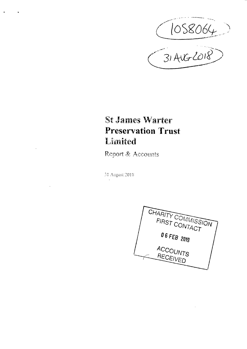(1058064)

**Report & Accounts** 

31 August 2018

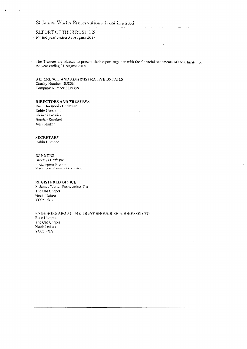### REPORT OF THE TRUSTEES . for the year ended 31 August 2018

The Trustees are pleased to present their report together with the financial statements of the Charity for the year ending 31 August 2018.

 $1.1.1.1$ 

#### REFERENCE AND ADMINISTRATIVE DETAILS Charity Number 1058064 Company Number 3239759

### **DIRECTORS AND TRUSTEES**

Rose Horspool - Chairman Robia Horspool Richard Frostick Heather Stanford Joan Straker

#### **SECRETARY**

 $\sim$ 

Robin Horspool

### **DANKERS**

Barefays Bank plc. Pocklington Branch York Area Group of Branches

#### **REGISTERED OFFICE**

St James Warter Preservation Trust The Old Chapel North Dalton YO25 9XA

#### ENQUIRIES ABOUT THE TRUST SHOULD BE ADDRESSED TO

Rose Horspool The Old Chapel North Dalton YO25 9XA

a la caractería

 $\mathcal{L}_{\mathcal{A}}$  ,  $\mathcal{L}_{\mathcal{A}}$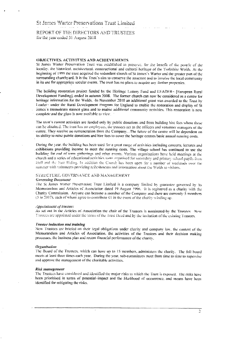# REPORT OF THE DIRECTORS AND TRUSTEES for the year ended 31 August 2018

### **OBJECTIVES. ACTIVITIES AND ACHIEVEMENTS**

St James Warter Preservation Trust was established to preserve, for the benefit of the people of the iocality, the historical, architectural, constructional and cultural heritage of the Yorkshire Wolds. At the beginning of 1999 the trust acquired the redundant church of St James's Warter and the greater part of the surrounding churchyard. It is the Trust's aim to conserve the structure and to involve the local community in its use for appropriate secular events. The trust-has no plans to acquire any further properties.

The building restoration project funded by the Heritage Lottery Fund and .LEADER- [European Rural Development Funding], ended in autumn 2008. The former church-can now be considered as a centre for heritage information for the Wolds. -In November 2010 an additional grant was awarded to the Trust, by Leader- under the Rural Development Hrogram ior England lo enable the restoration and display of St James's mausoleum stained glass and to enable additional community-activities. This restoration is now complete and the glass is now available to view.

The trust's current activities are funded only by public donations and from building hire fees where these can be obtained. The trust has no employees, the trustees act as the officers and volunteer managers of the centre. They receive no remuneration from the Company. The future of the centre will be dependent on its ability to raise pubiic donations and hire fees to cover ihe heritage centres basic annual running costs.

During the year. Ihe building has.been used for-a great range ol"activities including concerts, lectures and .exhibitions providing income to meet the running costs. The village school has continued io use the building for end of term gatherings and other events. Various organisations have held meetings at the church and a series of educational activities were organised for secondary and primary school pupils from Hull and the East Riding. In addition the Church has been open for a number of weekends over the

#### *.sunniier wnn volunteers providing rcircsniHcnis anr- ••!iortiir:?iOi! doou\*. iiie Wokis visilors.*

#### **Governing Document**

The St James Warter Preservation Trust Limited is a company limited by guarantee governed by its Memorandum and Articles of Association dated 19 August 1996. He is registered as a charity with the Charity Commission. Anyone can become a member of the Company and there are currently 5 members  $\frac{1}{\sqrt{2}}$  Memorandum ami Articles of Association dated 19 August 20 August 20 August 20 August 20 August 20 August 20 August 20 August 20 August 20 August 20 August 20 August 20 August 20 August 20 August 20 August 20 C harity Commission. Anyone agree to Commonder of the membership can the Chang's winding up.

#### Appointment of trustees

As set out in the Articles of Association the chair of the Trustees is nominated by the Trustees New  $\Gamma$ -insides are amplituded-independent of the chair of Association the Third of the original  $\Gamma$  are  $\alpha$ . : rusiccs are appointed unoer tiie terms oi liie frusi ueeo ana.oy uie invitation oi the e.\isiiug iVusiees.

#### *Trustee induction ami training*

New Trustees are briefed on their legal obligations under charily and conipany law. the content ol'the Memorandum and Articles of Association, the activities of the Trustees and their decision making processes, the business plan and receni financial performance of the eharilv.

#### *Orgiiilisuiinil*

The Board of the Trustees, which can have up to 15 members, administers the charily. The full board meels at least three limes each year. During the year, sub-committees meet from time to time-to supervise and approve the management-of the charitable activities.

#### *Risk management*

The Trustees have considered and identified'ihc major risks ;o which the Trust is exposed. The risks have been prioritised, in terms of potential-impact and the likelihood of occurrence, and means have been identified for mitigating the risks.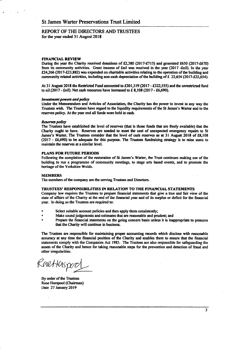**REPORT OF THE DIRECTORS AND TRUSTEES for the year ended 31 August 2018** 

#### **FINANCIAL REVIEW**

**During the year the Charity received donations of £2,380 (2017-£715) and generated £650 (2017-£670) from its community activities. Grant income of £nil was received in the year (2017 -£ni1). In the year £24,266 (2017-£23,882) was expended on charitable activities relating to the operation of the building and community related activities, including non-cash depreciation of the building of £ 22,654 (2017-£22,634).** 

At 31 August 2018 the Restricted Fund amounted to £301,319 (2017 - £322,555) and the unrestricted fund **to nil (2017 - £nil). Net cash resources have increased to £ 8,108 (2017 - £6,690).** 

#### *Investment powers and policy*

**Under the Memorandum and Articles of Association, the Charity has the power to invest in any way the Trustees wish. The Trustees have regard to the liquidity requirements of the St James's Waiter and to the reserves policy. At the year end all funds were held in cash.** 

#### *Reserves poiiey*

**The Trustees have established the level of reserves (that is those funds that are freely available) that the Charity ought to have. Reserves are needed to meet the cost of unexpected emergency repairs to St James's Waiter. The Trustees consider that the level of cash reserves as at 31 August 2018 of £8,108 (2017 - £6,690) to be adequate for this purpose. The Trustees fundraising strategy is to raise sums to maintain the reserves at a similar level.** 

#### **PLANS FOR FUTURE PERIODS**

Following the completion of the restoration of St James's Warter, the Trust continues making use of the **building to run a programme of community meetings, to stage arts based events, and to promote the heritage of the Yorkshire Wolds.** 

#### **MEMBERS**

**The members of the company are the serving Trustees and Directors.** 

#### **TRUSTEES' RESPONSIBILITIES IN RELATION TO THE FINANCIAL STATEMENTS**

**Company law requires the Trustees to prepare financial statements that give a true and fair view of the state of affairs of the Charity at the end of the financia] year and of its surplus or deficit for the financial year, ln doing so the Trustees are required to:** 

- **Select suitable account policies and then apply them consistently;**
- **° Make sound judgements and estimates that are reasonable and prudent; and**
- **\* Prepare the financial statements on the going concern basis unless it is inappropriate to presume mat the Charity will continue in business.**

**The Trustees are responsible for maintaining proper accounting records which disclose with reasonable accuracy at any time the fmancial position of the Charity and enables mem to ensure that the financial statements comply with the Companies Act 1985. The Trustees are also responsible for safeguarding the assets of the Charity and hence for taking reasonable steps for the prevention and detection of fraud and other irregularities.** 

Enettaspor

**By order of the Trustees Rose Horspool (Chairman) Date 27 January 2019**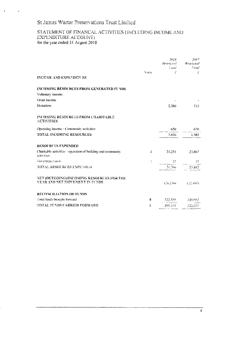$\hat{\boldsymbol{\beta}}$ 

# STATEMENT OF FINANCAL ACTIVITIES (INCLUDING INCOME AND EXPENDITURE ACCOUNT) for the year ended 31 August 2018

|                                                                                    |              | 2018 -                                       | 2017                           |
|------------------------------------------------------------------------------------|--------------|----------------------------------------------|--------------------------------|
|                                                                                    |              | Land Corporation                             | Restricted Restricted<br>$+mm$ |
|                                                                                    | <b>Voies</b> | £.                                           | Ť                              |
| INCOME AND EXPENDITURE                                                             |              |                                              |                                |
| <b>INCOMING RESOURCES FROM GENERATED FUNDS</b>                                     |              |                                              |                                |
| Voluntary income:                                                                  |              |                                              |                                |
| Grant income                                                                       |              |                                              |                                |
| Donations                                                                          |              | $2.380 -$                                    | 715                            |
| <b>INCOMBNG RESOURCES FROM CHARITABLE</b><br><b>ACTIVITIES</b>                     |              |                                              |                                |
| Operating income - Community activities                                            |              |                                              | $-650$ 670                     |
| <b>TOTAL INCOMING RESOURCES</b>                                                    |              |                                              | 3.030 i.385                    |
| <b>RESOURCES EXPENDED</b>                                                          |              |                                              |                                |
| Charitable activities - operation of building and community<br>activities.         | $\mathbf{A}$ | 24.251 23.867                                |                                |
| Governance costs                                                                   | ÷            | $\frac{15}{2}$ $\frac{15}{2}$ $\frac{15}{2}$ |                                |
| <b>TOTAL RESOURCES EXPENDED</b>                                                    |              | 24.266 23.882                                |                                |
| NET (OUTGOING)/INCOMING RESOURCES FOR THE<br><b>VEAR AND NET MOVEMENT IN FUNDS</b> |              |                                              | (21.236) (22.497)              |
| <b>RECONCILIATION OF FUNDS</b>                                                     |              |                                              |                                |
| Total finds brought forward                                                        | $8 -$        | $322.555$ $345.052$                          |                                |
| <b>TOTAL FUNDS CARRIED FORWARD</b>                                                 | 搭            | 301.319 322.555                              |                                |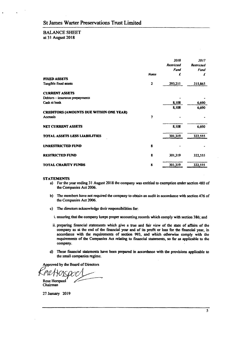# **BALANCE SHEET**

**at 31 August 2018** 

|                                                |              | 2018<br><b>Restricted</b><br>Fund | 2017<br><b>Restricted</b><br>Fund |
|------------------------------------------------|--------------|-----------------------------------|-----------------------------------|
|                                                | <b>Notes</b> | £                                 | £                                 |
| <b>FIXED ASSETS</b>                            |              |                                   |                                   |
| Tangible fixed assets                          | 2            | 293,211                           | 315,865                           |
| <b>CURRENT ASSETS</b>                          |              |                                   |                                   |
| Debtors - insurance prepayments                |              |                                   |                                   |
| Cash at bank                                   |              | 8,108                             | 6,690                             |
|                                                |              | 8,108                             | 6,690                             |
| <b>CREDITORS (AMOUNTS DUE WITHIN ONE YEAR)</b> |              |                                   |                                   |
| Accruals                                       | 7            |                                   |                                   |
| <b>NET CURRENT ASSETS</b>                      |              | 8,108                             | 6,690                             |
| TOTAL ASSETS LESS LIABILITIES                  |              | 301,319                           | 322,555                           |
| <b>UNRESTRICTED FUND</b>                       | 8            |                                   |                                   |
| <b>RESTRICTED FUND</b>                         | 8            | 301,319                           | 322,555                           |
| <b>TOTAL CHARITY FUNDS</b>                     | 8            | 301,319                           | 322,555                           |

#### **STATEMENTS**

- **a) For the year ending 31 August 2018 the company was entitled to exemption under section 480 of the Companies Act 2006.**
- **b) The members have not required the company to obtain an audit in accordance with section 476 of the Companies Act 2006.**
- **c) The directors acknowledge their responsibilities for.** 
	- **i. ensuring that the company keeps proper accounting records which comply with section 386; and**
	- **ii. preparing financial statements which give a true and fair view of the state of affairs of the company as at the end of the financial year and of its profit or loss for the financial year, in accordance with the requirements of section 993, and which otherwise comply with the requirements of the Companies Act relating to financial statements, so far as applicable to the company.**
- **d) These financial statements have been prepared in accordance with the provisions applicable to the small companies regime.**

**Approved by the Board of Directors** 

**Rose Horspool** 

**Chairman** 

**27 January 2019**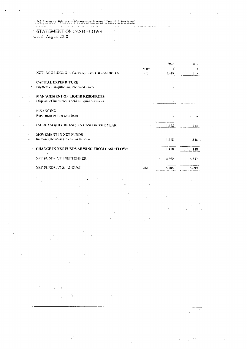| STATEMENT OF CASH FLOWS |  |
|-------------------------|--|
| tat 31 August 2018.     |  |

|                                                    | Voies  | 2018<br>Ľ | - 2017     |
|----------------------------------------------------|--------|-----------|------------|
| NET INCOMING(OUTGOING) CASH RESOURCES              | 3(a)   | 1.418     | 148.       |
| <b>CAPITAL EXPENDITURE</b>                         |        |           |            |
| Payments to acquire tangible fixed assets          |        |           |            |
| <b>MANAGEMENT OF LIQUID RESOURCES</b>              |        |           |            |
| Disposal of investments held as liquid resources   |        |           |            |
| <b>FINANCING</b>                                   |        |           |            |
| Repayment of long term ioans                       |        |           |            |
| - INCREASE/(DECREASE) 'IN CASH IN THE YEAR         |        | 1.418     | 14N        |
| MOVEMENT IN NET FUNDS                              |        |           |            |
| Increase (Decrease) in cash in the year            |        | 4.418     | $-448 -$   |
| <b>CHANGE IN NET FUNDS ARISING FROM CASH FLOWS</b> |        | 1.418     | $\sim$ 148 |
| NETTELNING ATT CEPTEMBED                           |        | 6.699     | 6.542      |
| NET FUNDS AT 31 AUGUST                             | 31 t.) | 3,108     | (5,590)    |

 $\mathfrak{c}$ 

 $\overline{6}$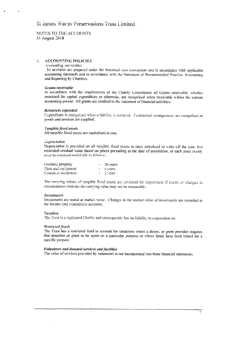#### NOTES TO THE ACCOUNTS 31 August 2018

#### **ACCOUNTING POLICIES**  $\mathbf{L}$

#### Accounting convention

- he accounts are prepared under the historical cost convention and in accordance with applicable accounting standards and in accordance with the Statement of Recommended Practice. Accounting and Reporting by Charities.

#### Grants receivable

In accordance with the requirements of the Charity Commission all Grants receivable, whether restricted for capital expenditure or otherwise, are recognised when receivable within the current accounting period. All grants are credited to the statement of financial activities,

#### Resources expended

Expenditure is recognised when a liability is incurred. Contractual arrangements are recognised as goods and services are supplied.

#### Tangible fixed assets

All tangible fixed assets are capitalised at cost.

#### **Depreciation**

Depreciation is provided on all tangible fixed assets at rates calculated to write off the cost, less estimated residual value based on prices prevailing at the date of acquisition, of each asset evenly over its expected useful life as follows:

| i rechoid property   |        | 20 years   |
|----------------------|--------|------------|
| Plant and equipment. |        | $-4$ vears |
| Computer equipment   | $\sim$ | 3 years    |

The carrying values of tangible fixed assets are reviewed for impairment if events or changes in circumstances indicate the carrying value may not be reasonable.

#### Investments

Investments are stated at market value. Changes in the market value of investments are recorded in the income and expenditure accounts.

#### Taxation

The Trust is a registered Charity and consequently has no liability to corporation tax.

#### **Restricted funds**

The Trust has a restricted fund to account for situations where a donor, or grant provider requires that donation or grant to be spent on a particular purpose or where funds have been raised for a specific purpose.

#### Volunteers and donated services and facilities

The value of services provided by volunteers is not incorporated into these financial statements.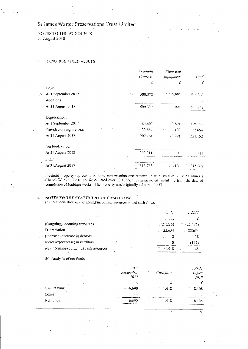#### St James Warter Preservations Trust Limited  $\mathbf{u}$  . The  $\mathbf{u}$

NOTES TO THE ACCOUNTS 31 August 2018

#### 2. TANGIBLE FIXED ASSETS

|                          | Frechold<br>Property | Plant and<br>Equipment | Total          |
|--------------------------|----------------------|------------------------|----------------|
|                          | Ľ                    | £                      | £              |
| Cost:                    |                      |                        |                |
| At 1 September 2017      | $-500.372$           | 13.991                 | 514.363        |
| <b>Additions</b>         |                      |                        |                |
| At 31 August 2018        | 500,372              | 13,001                 | 514.363        |
| Depreciation:            |                      |                        |                |
| At 1 September 2017      | 184.607              | 13,891                 | 198.498        |
| Provided during the year | 22.554               | 100                    | 22.654         |
| At 31 August 2018        | 1207.161             | 13.991                 | 221.152        |
| Net book value:          |                      |                        |                |
| At 31 August 2018        | 293.211              | $\bigcap$              | <b>203 211</b> |
| 293,211                  |                      |                        |                |
| At 31 August 2017        |                      |                        |                |

Freehold property represents building conservation and restoration work completed on St James's - Church Warter. Costs are depreciated over 20 years, their anticipated useful life from the date of completion of building works. The property was originally acquired for CI.

3. NOTES TO THE STATEMENT OF CASH FLOW<br>(a) Reconciliation of (outgoing) incoming resources to net cash flows

|                                              |  | 6.2018                          | - 2017             |
|----------------------------------------------|--|---------------------------------|--------------------|
|                                              |  |                                 |                    |
| (Outgoing)/incoming resources                |  | (21.236)                        | 99. TO<br>(22.497) |
| Depreciation                                 |  | 22.654                          | $-22.654$          |
| $\rightarrow$ (Increase) decrease in debtors |  | O                               | -138               |
| · increase/(decrease) in creditors           |  | Ü<br>$\mathcal{L}_{\text{max}}$ | (147)              |
| Net incoming/(outgoing) cash resources       |  | $\cdot$ .<br>$-1418$            | 148                |

(b) Analysis of net funds

|               | $\cdots$<br>$\ddotsc$<br>$\cdot$ | . <b>.</b> 7<br>September<br>.2017<br>$\sim$ $\sim$ | Cash flow | $-40.31$<br>$.4$ ugust<br>$-2018$ |
|---------------|----------------------------------|-----------------------------------------------------|-----------|-----------------------------------|
|               |                                  |                                                     |           |                                   |
| Cash at bank  |                                  | $-6.690$                                            | $-1.418$  | $-.8.108$                         |
| <b>Ecoans</b> |                                  | . .                                                 |           |                                   |
| Net funds     |                                  | 6:690                                               | $-1.418$  | 8.108                             |

 $\overline{\mathbb{S}}$